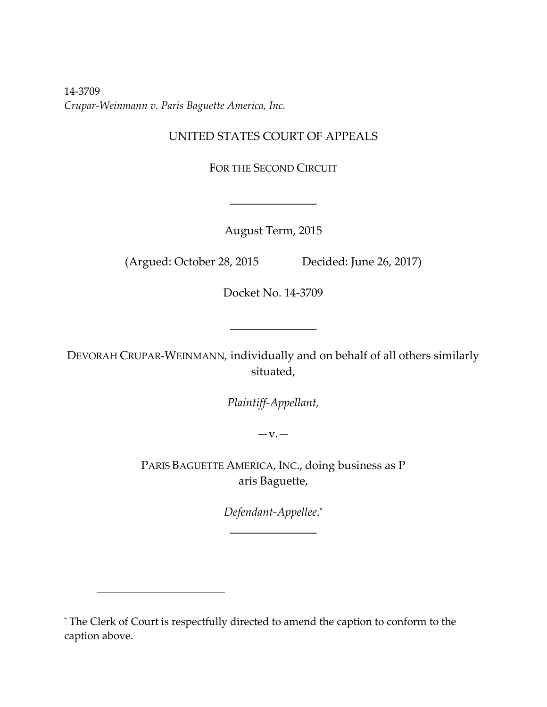14‐3709 *Crupar‐Weinmann v. Paris Baguette America, Inc.*

# UNITED STATES COURT OF APPEALS

FOR THE SECOND CIRCUIT

August Term, 2015

\_\_\_\_\_\_\_\_\_\_\_\_\_\_\_

(Argued: October 28, 2015 Decided: June 26, 2017)

Docket No. 14‐3709

\_\_\_\_\_\_\_\_\_\_\_\_\_\_\_

DEVORAH CRUPAR‐WEINMANN*,* individually and on behalf of all others similarly situated,

*Plaintiff‐Appellant,*

 $-V.$ 

PARIS BAGUETTE AMERICA, INC., doing business as P aris Baguette,

> *Defendant‐Appellee*. \* \_\_\_\_\_\_\_\_\_\_\_\_\_\_\_

<sup>\*</sup> The Clerk of Court is respectfully directed to amend the caption to conform to the caption above.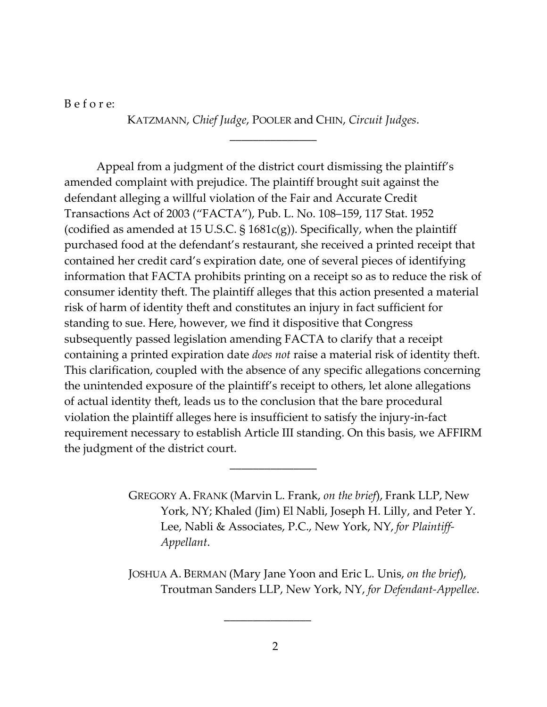B e f o r e:

KATZMANN, *Chief Judge*, POOLER and CHIN, *Circuit Judges*. \_\_\_\_\_\_\_\_\_\_\_\_\_\_\_

Appeal from a judgment of the district court dismissing the plaintiff's amended complaint with prejudice. The plaintiff brought suit against the defendant alleging a willful violation of the Fair and Accurate Credit Transactions Act of 2003 ("FACTA"), Pub. L. No. 108–159, 117 Stat. 1952 (codified as amended at 15 U.S.C.  $\S$  1681c(g)). Specifically, when the plaintiff purchased food at the defendant's restaurant, she received a printed receipt that contained her credit card's expiration date, one of several pieces of identifying information that FACTA prohibits printing on a receipt so as to reduce the risk of consumer identity theft. The plaintiff alleges that this action presented a material risk of harm of identity theft and constitutes an injury in fact sufficient for standing to sue. Here, however, we find it dispositive that Congress subsequently passed legislation amending FACTA to clarify that a receipt containing a printed expiration date *does not* raise a material risk of identity theft. This clarification, coupled with the absence of any specific allegations concerning the unintended exposure of the plaintiff's receipt to others, let alone allegations of actual identity theft, leads us to the conclusion that the bare procedural violation the plaintiff alleges here is insufficient to satisfy the injury‐in‐fact requirement necessary to establish Article III standing. On this basis, we AFFIRM the judgment of the district court.

\_\_\_\_\_\_\_\_\_\_\_\_\_\_\_

GREGORY A. FRANK (Marvin L. Frank, *on the brief*), Frank LLP, New York, NY; Khaled (Jim) El Nabli, Joseph H. Lilly, and Peter Y. Lee, Nabli & Associates, P.C., New York, NY, *for Plaintiff‐ Appellant*.

JOSHUA A. BERMAN (Mary Jane Yoon and Eric L. Unis, *on the brief*), Troutman Sanders LLP, New York, NY, *for Defendant‐Appellee*.

 $\frac{1}{\sqrt{2}}$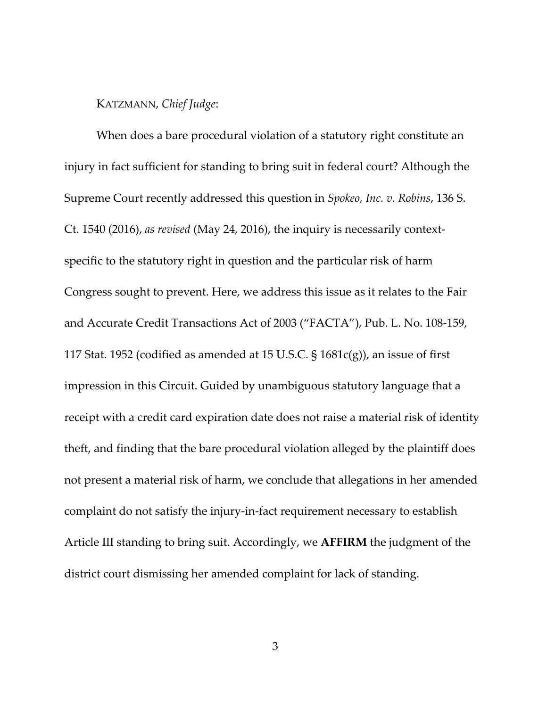# KATZMANN, *Chief Judge*:

When does a bare procedural violation of a statutory right constitute an injury in fact sufficient for standing to bring suit in federal court? Although the Supreme Court recently addressed this question in *Spokeo, Inc. v. Robins*, 136 S. Ct. 1540 (2016), *as revised* (May 24, 2016), the inquiry is necessarily context‐ specific to the statutory right in question and the particular risk of harm Congress sought to prevent. Here, we address this issue as it relates to the Fair and Accurate Credit Transactions Act of 2003 ("FACTA"), Pub. L. No. 108‐159, 117 Stat. 1952 (codified as amended at 15 U.S.C.  $\S$  1681c(g)), an issue of first impression in this Circuit. Guided by unambiguous statutory language that a receipt with a credit card expiration date does not raise a material risk of identity theft, and finding that the bare procedural violation alleged by the plaintiff does not present a material risk of harm, we conclude that allegations in her amended complaint do not satisfy the injury‐in‐fact requirement necessary to establish Article III standing to bring suit. Accordingly, we **AFFIRM** the judgment of the district court dismissing her amended complaint for lack of standing.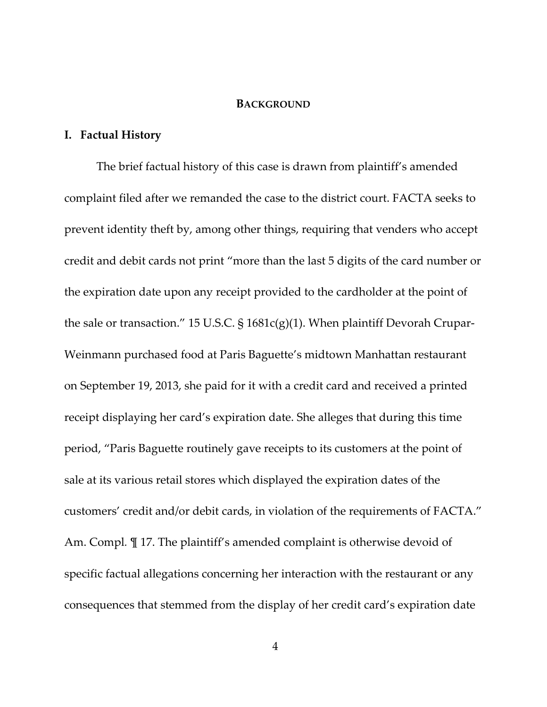#### **BACKGROUND**

# **I. Factual History**

The brief factual history of this case is drawn from plaintiff's amended complaint filed after we remanded the case to the district court. FACTA seeks to prevent identity theft by, among other things, requiring that venders who accept credit and debit cards not print "more than the last 5 digits of the card number or the expiration date upon any receipt provided to the cardholder at the point of the sale or transaction." 15 U.S.C.  $\S 1681c(g)(1)$ . When plaintiff Devorah Crupar-Weinmann purchased food at Paris Baguette's midtown Manhattan restaurant on September 19, 2013, she paid for it with a credit card and received a printed receipt displaying her card's expiration date. She alleges that during this time period, "Paris Baguette routinely gave receipts to its customers at the point of sale at its various retail stores which displayed the expiration dates of the customers' credit and/or debit cards, in violation of the requirements of FACTA." Am. Compl*.* ¶ 17. The plaintiff's amended complaint is otherwise devoid of specific factual allegations concerning her interaction with the restaurant or any consequences that stemmed from the display of her credit card's expiration date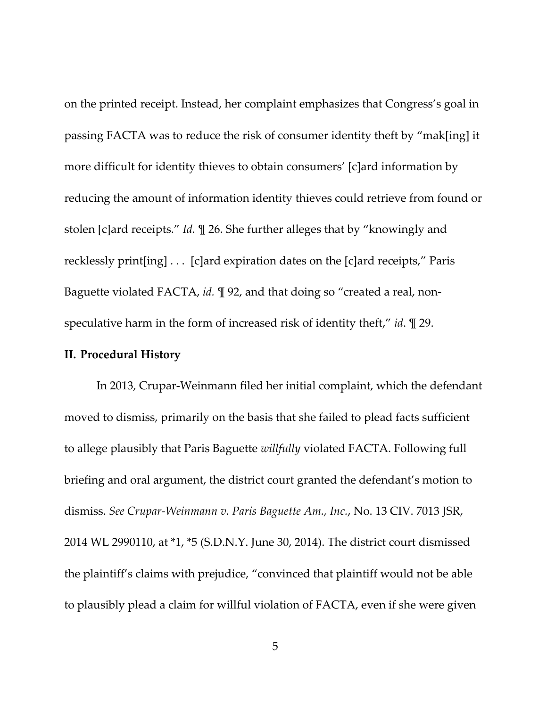on the printed receipt. Instead, her complaint emphasizes that Congress's goal in passing FACTA was to reduce the risk of consumer identity theft by "mak[ing] it more difficult for identity thieves to obtain consumers' [c]ard information by reducing the amount of information identity thieves could retrieve from found or stolen [c]ard receipts." *Id.* ¶ 26. She further alleges that by "knowingly and recklessly print[ing] . . . [c]ard expiration dates on the [c]ard receipts," Paris Baguette violated FACTA, *id*. *¶* 92, and that doing so "created a real, nonspeculative harm in the form of increased risk of identity theft," *id*. ¶ 29.

#### **II. Procedural History**

In 2013, Crupar‐Weinmann filed her initial complaint, which the defendant moved to dismiss, primarily on the basis that she failed to plead facts sufficient to allege plausibly that Paris Baguette *willfully* violated FACTA. Following full briefing and oral argument, the district court granted the defendant's motion to dismiss. *See Crupar‐Weinmann v. Paris Baguette Am., Inc.*, No. 13 CIV. 7013 JSR, 2014 WL 2990110, at \*1, \*5 (S.D.N.Y. June 30, 2014). The district court dismissed the plaintiff's claims with prejudice, "convinced that plaintiff would not be able to plausibly plead a claim for willful violation of FACTA, even if she were given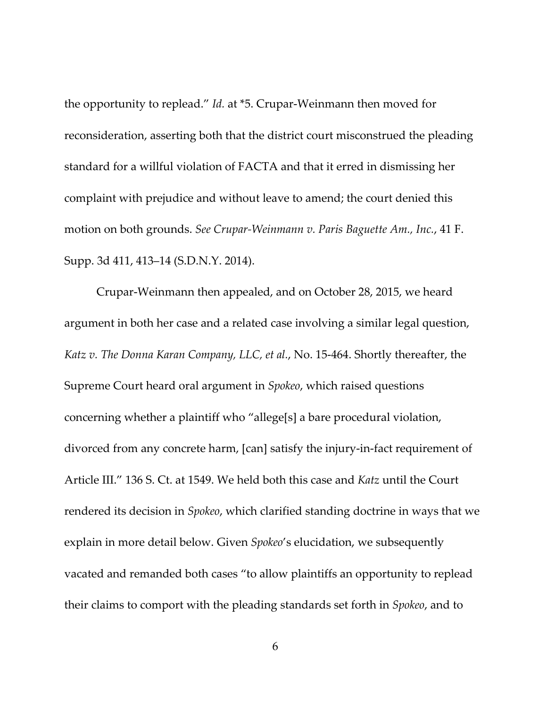the opportunity to replead." *Id.* at \*5. Crupar‐Weinmann then moved for reconsideration, asserting both that the district court misconstrued the pleading standard for a willful violation of FACTA and that it erred in dismissing her complaint with prejudice and without leave to amend; the court denied this motion on both grounds. *See Crupar‐Weinmann v. Paris Baguette Am., Inc.*, 41 F. Supp. 3d 411, 413–14 (S.D.N.Y. 2014).

Crupar‐Weinmann then appealed, and on October 28, 2015, we heard argument in both her case and a related case involving a similar legal question, *Katz v. The Donna Karan Company, LLC, et al.*, No. 15‐464. Shortly thereafter, the Supreme Court heard oral argument in *Spokeo*, which raised questions concerning whether a plaintiff who "allege[s] a bare procedural violation, divorced from any concrete harm, [can] satisfy the injury‐in‐fact requirement of Article III." 136 S. Ct. at 1549. We held both this case and *Katz* until the Court rendered its decision in *Spokeo*, which clarified standing doctrine in ways that we explain in more detail below. Given *Spokeo*'s elucidation, we subsequently vacated and remanded both cases "to allow plaintiffs an opportunity to replead their claims to comport with the pleading standards set forth in *Spokeo*, and to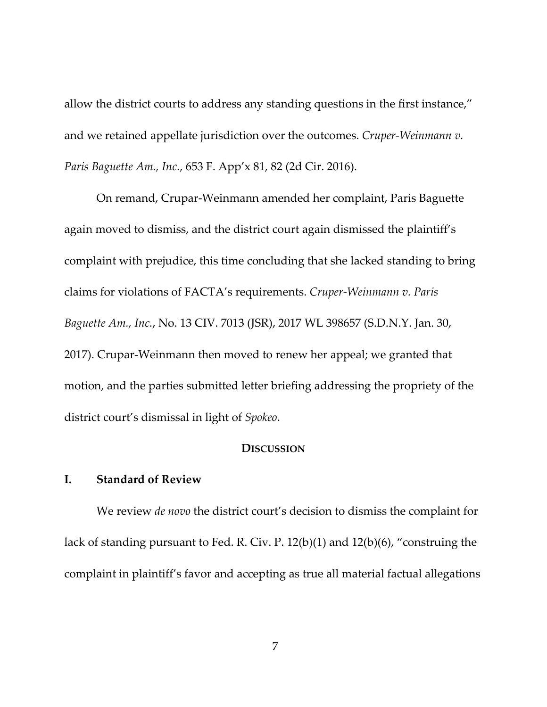allow the district courts to address any standing questions in the first instance," and we retained appellate jurisdiction over the outcomes. *Cruper‐Weinmann v. Paris Baguette Am., Inc.*, 653 F. App'x 81, 82 (2d Cir. 2016).

On remand, Crupar‐Weinmann amended her complaint, Paris Baguette again moved to dismiss, and the district court again dismissed the plaintiff's complaint with prejudice, this time concluding that she lacked standing to bring claims for violations of FACTA's requirements. *Cruper‐Weinmann v. Paris Baguette Am., Inc.*, No. 13 CIV. 7013 (JSR), 2017 WL 398657 (S.D.N.Y. Jan. 30, 2017). Crupar‐Weinmann then moved to renew her appeal; we granted that motion, and the parties submitted letter briefing addressing the propriety of the district court's dismissal in light of *Spokeo*.

### **DISCUSSION**

# **I. Standard of Review**

We review *de novo* the district court's decision to dismiss the complaint for lack of standing pursuant to Fed. R. Civ. P. 12(b)(1) and 12(b)(6), "construing the complaint in plaintiff's favor and accepting as true all material factual allegations

7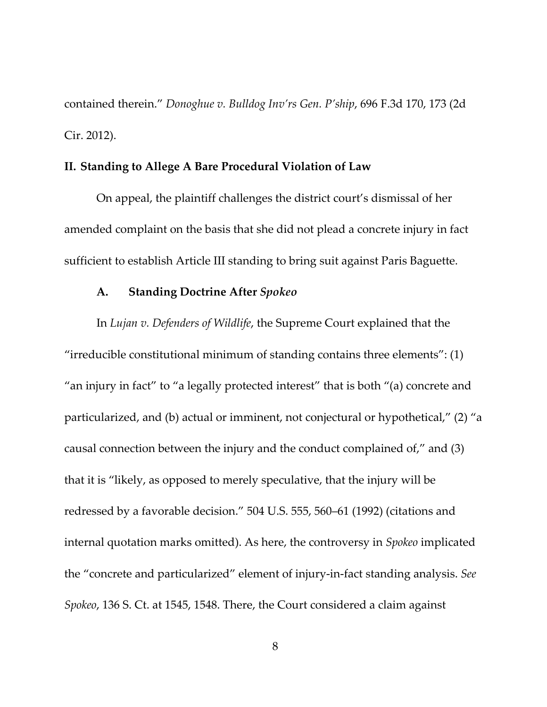contained therein." *Donoghue v. Bulldog Inv'rs Gen. P'ship*, 696 F.3d 170, 173 (2d Cir. 2012).

#### **II. Standing to Allege A Bare Procedural Violation of Law**

On appeal, the plaintiff challenges the district court's dismissal of her amended complaint on the basis that she did not plead a concrete injury in fact sufficient to establish Article III standing to bring suit against Paris Baguette.

# **A. Standing Doctrine After** *Spokeo*

In *Lujan v. Defenders of Wildlife*, the Supreme Court explained that the "irreducible constitutional minimum of standing contains three elements": (1) "an injury in fact" to "a legally protected interest" that is both "(a) concrete and particularized, and (b) actual or imminent, not conjectural or hypothetical," (2) "a causal connection between the injury and the conduct complained of," and (3) that it is "likely, as opposed to merely speculative, that the injury will be redressed by a favorable decision." 504 U.S. 555, 560–61 (1992) (citations and internal quotation marks omitted). As here, the controversy in *Spokeo* implicated the "concrete and particularized" element of injury‐in‐fact standing analysis. *See Spokeo*, 136 S. Ct. at 1545, 1548. There, the Court considered a claim against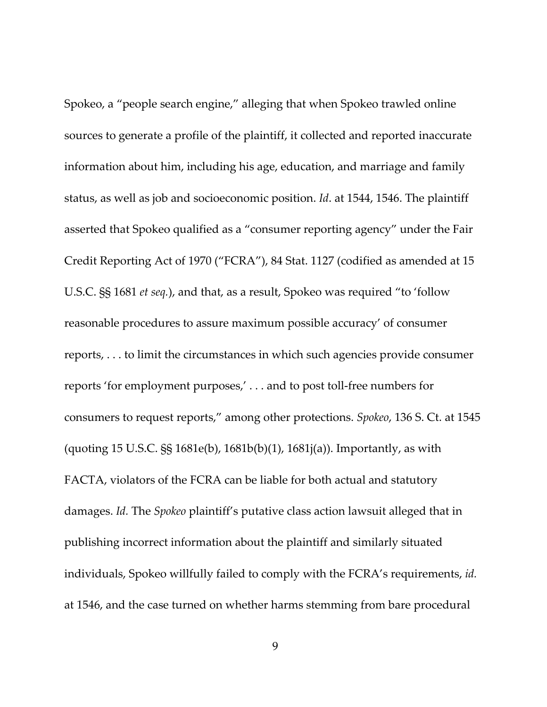Spokeo, a "people search engine," alleging that when Spokeo trawled online sources to generate a profile of the plaintiff, it collected and reported inaccurate information about him, including his age, education, and marriage and family status, as well as job and socioeconomic position. *Id*. at 1544, 1546. The plaintiff asserted that Spokeo qualified as a "consumer reporting agency" under the Fair Credit Reporting Act of 1970 ("FCRA"), 84 Stat. 1127 (codified as amended at 15 U.S.C. §§ 1681 *et seq.*), and that, as a result, Spokeo was required "to 'follow reasonable procedures to assure maximum possible accuracy' of consumer reports, . . . to limit the circumstances in which such agencies provide consumer reports 'for employment purposes,' . . . and to post toll‐free numbers for consumers to request reports," among other protections. *Spokeo*, 136 S. Ct. at 1545 (quoting 15 U.S.C. §§ 1681e(b), 1681b(b)(1), 1681j(a)). Importantly, as with FACTA, violators of the FCRA can be liable for both actual and statutory damages. *Id.* The *Spokeo* plaintiff's putative class action lawsuit alleged that in publishing incorrect information about the plaintiff and similarly situated individuals, Spokeo willfully failed to comply with the FCRA's requirements, *id.* at 1546, and the case turned on whether harms stemming from bare procedural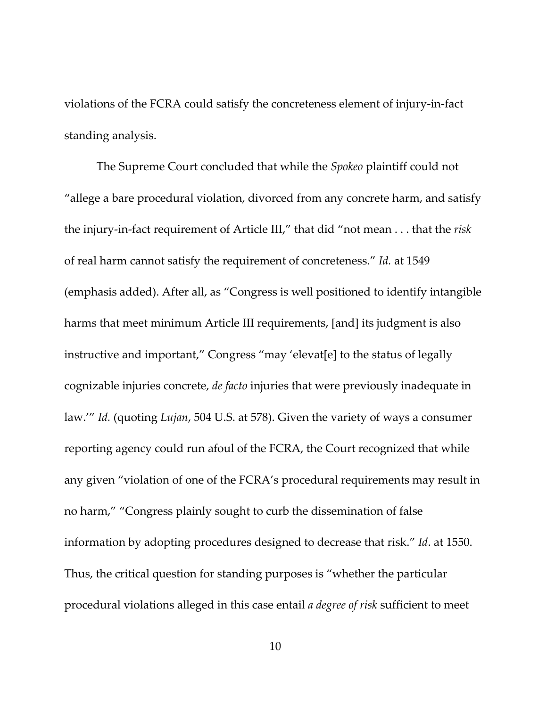violations of the FCRA could satisfy the concreteness element of injury‐in‐fact standing analysis.

The Supreme Court concluded that while the *Spokeo* plaintiff could not "allege a bare procedural violation, divorced from any concrete harm, and satisfy the injury‐in‐fact requirement of Article III," that did "not mean . . . that the *risk* of real harm cannot satisfy the requirement of concreteness." *Id.* at 1549 (emphasis added). After all, as "Congress is well positioned to identify intangible harms that meet minimum Article III requirements, [and] its judgment is also instructive and important," Congress "may 'elevat[e] to the status of legally cognizable injuries concrete, *de facto* injuries that were previously inadequate in law.'" *Id.* (quoting *Lujan*, 504 U.S. at 578). Given the variety of ways a consumer reporting agency could run afoul of the FCRA, the Court recognized that while any given "violation of one of the FCRA's procedural requirements may result in no harm," "Congress plainly sought to curb the dissemination of false information by adopting procedures designed to decrease that risk." *Id*. at 1550. Thus, the critical question for standing purposes is "whether the particular procedural violations alleged in this case entail *a degree of risk* sufficient to meet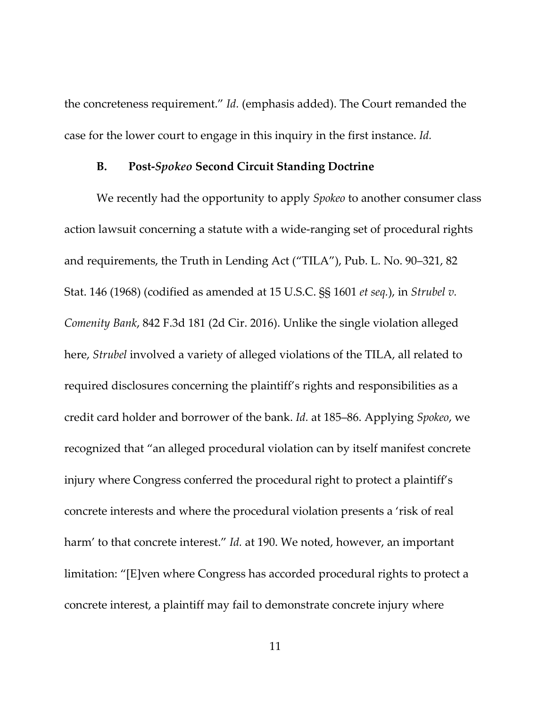the concreteness requirement." *Id.* (emphasis added). The Court remanded the case for the lower court to engage in this inquiry in the first instance. *Id.*

#### **B. Post‐***Spokeo* **Second Circuit Standing Doctrine**

We recently had the opportunity to apply *Spokeo* to another consumer class action lawsuit concerning a statute with a wide‐ranging set of procedural rights and requirements, the Truth in Lending Act ("TILA"), Pub. L. No. 90–321, 82 Stat. 146 (1968) (codified as amended at 15 U.S.C. §§ 1601 *et seq.*), in *Strubel v. Comenity Bank*, 842 F.3d 181 (2d Cir. 2016). Unlike the single violation alleged here, *Strubel* involved a variety of alleged violations of the TILA, all related to required disclosures concerning the plaintiff's rights and responsibilities as a credit card holder and borrower of the bank. *Id.* at 185–86. Applying *Spokeo*, we recognized that "an alleged procedural violation can by itself manifest concrete injury where Congress conferred the procedural right to protect a plaintiff's concrete interests and where the procedural violation presents a 'risk of real harm' to that concrete interest." *Id.* at 190. We noted, however, an important limitation: "[E]ven where Congress has accorded procedural rights to protect a concrete interest, a plaintiff may fail to demonstrate concrete injury where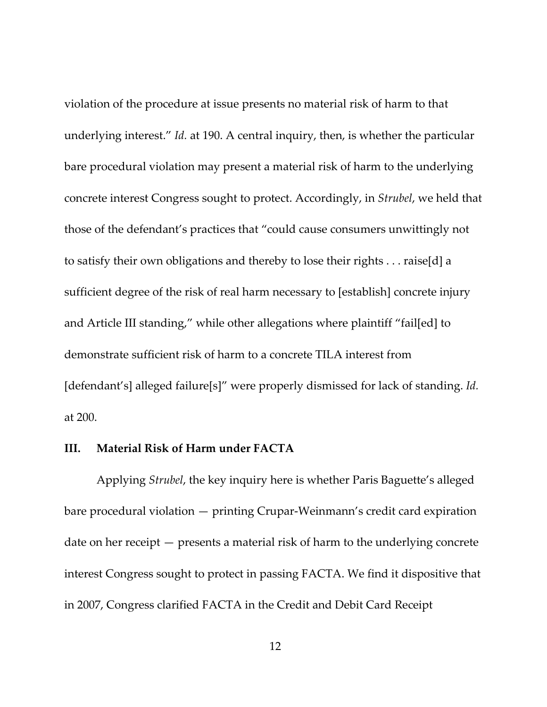violation of the procedure at issue presents no material risk of harm to that underlying interest." *Id.* at 190. A central inquiry, then, is whether the particular bare procedural violation may present a material risk of harm to the underlying concrete interest Congress sought to protect. Accordingly, in *Strubel*, we held that those of the defendant's practices that "could cause consumers unwittingly not to satisfy their own obligations and thereby to lose their rights . . . raise[d] a sufficient degree of the risk of real harm necessary to [establish] concrete injury and Article III standing," while other allegations where plaintiff "fail[ed] to demonstrate sufficient risk of harm to a concrete TILA interest from [defendant's] alleged failure[s]" were properly dismissed for lack of standing. *Id.* at 200.

### **III. Material Risk of Harm under FACTA**

Applying *Strubel*, the key inquiry here is whether Paris Baguette's alleged bare procedural violation — printing Crupar‐Weinmann's credit card expiration date on her receipt — presents a material risk of harm to the underlying concrete interest Congress sought to protect in passing FACTA. We find it dispositive that in 2007, Congress clarified FACTA in the Credit and Debit Card Receipt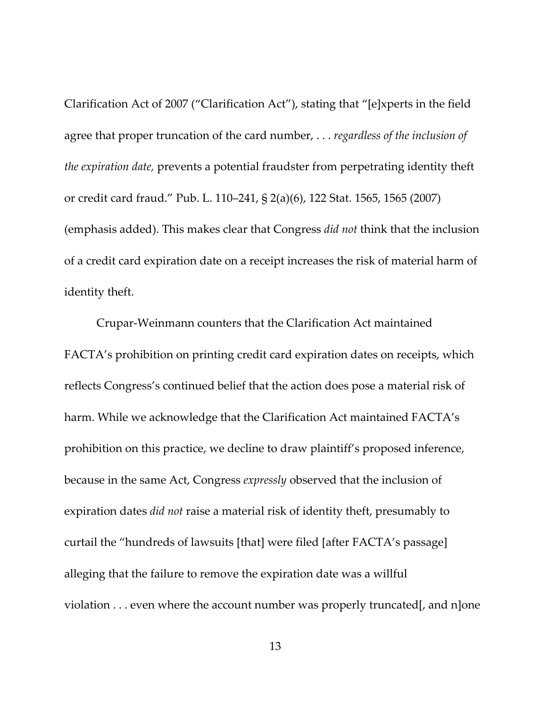Clarification Act of 2007 ("Clarification Act"), stating that "[e]xperts in the field agree that proper truncation of the card number, . . . *regardless of the inclusion of the expiration date,* prevents a potential fraudster from perpetrating identity theft or credit card fraud." Pub. L. 110–241, § 2(a)(6), 122 Stat. 1565, 1565 (2007) (emphasis added). This makes clear that Congress *did not* think that the inclusion of a credit card expiration date on a receipt increases the risk of material harm of identity theft.

Crupar‐Weinmann counters that the Clarification Act maintained FACTA's prohibition on printing credit card expiration dates on receipts, which reflects Congress's continued belief that the action does pose a material risk of harm. While we acknowledge that the Clarification Act maintained FACTA's prohibition on this practice, we decline to draw plaintiff's proposed inference, because in the same Act, Congress *expressly* observed that the inclusion of expiration dates *did not* raise a material risk of identity theft, presumably to curtail the "hundreds of lawsuits [that] were filed [after FACTA's passage] alleging that the failure to remove the expiration date was a willful violation . . . even where the account number was properly truncated[, and n]one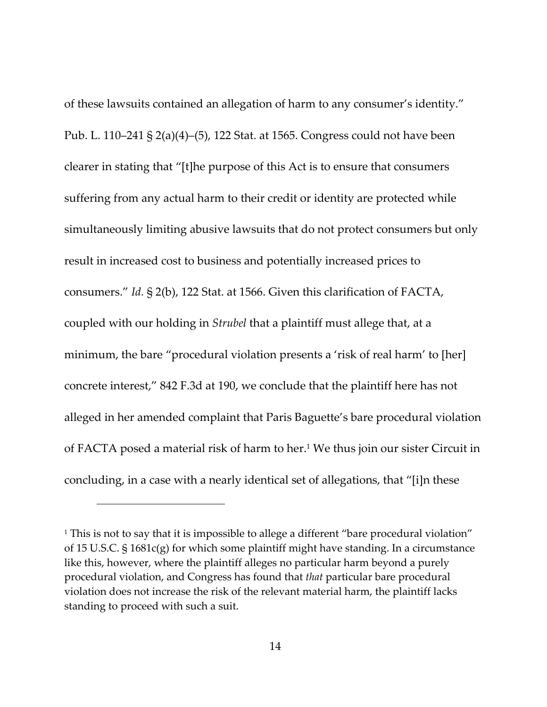of these lawsuits contained an allegation of harm to any consumer's identity." Pub. L. 110–241 § 2(a)(4)–(5), 122 Stat. at 1565. Congress could not have been clearer in stating that "[t]he purpose of this Act is to ensure that consumers suffering from any actual harm to their credit or identity are protected while simultaneously limiting abusive lawsuits that do not protect consumers but only result in increased cost to business and potentially increased prices to consumers." *Id.* § 2(b), 122 Stat. at 1566. Given this clarification of FACTA, coupled with our holding in *Strubel* that a plaintiff must allege that, at a minimum, the bare "procedural violation presents a 'risk of real harm' to [her] concrete interest," 842 F.3d at 190, we conclude that the plaintiff here has not alleged in her amended complaint that Paris Baguette's bare procedural violation of FACTA posed a material risk of harm to her.1 We thus join our sister Circuit in concluding, in a case with a nearly identical set of allegations, that "[i]n these

<sup>&</sup>lt;sup>1</sup> This is not to say that it is impossible to allege a different "bare procedural violation" of 15 U.S.C. § 1681c(g) for which some plaintiff might have standing. In a circumstance like this, however, where the plaintiff alleges no particular harm beyond a purely procedural violation, and Congress has found that *that* particular bare procedural violation does not increase the risk of the relevant material harm, the plaintiff lacks standing to proceed with such a suit.